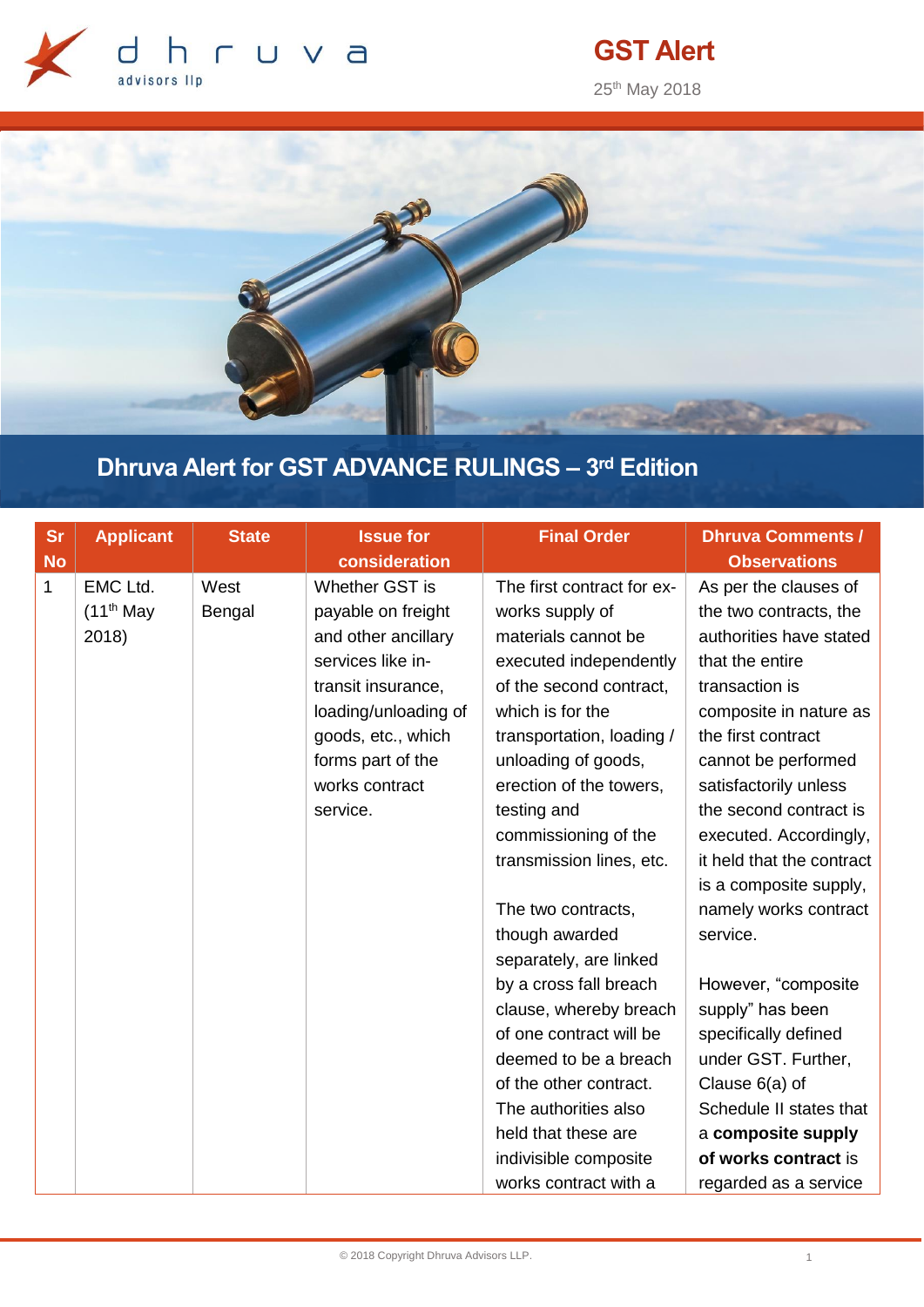

# **GST Alert**

25<sup>th</sup> May 2018



# **Dhruva Alert for GST ADVANCE RULINGS – 3 rd Edition**

| <b>Sr</b>    | <b>Applicant</b> | <b>State</b> | <b>Issue for</b>     | <b>Final Order</b>         | <b>Dhruva Comments /</b>  |
|--------------|------------------|--------------|----------------------|----------------------------|---------------------------|
| <b>No</b>    |                  |              | consideration        |                            | <b>Observations</b>       |
| $\mathbf{1}$ | EMC Ltd.         | West         | Whether GST is       | The first contract for ex- | As per the clauses of     |
|              | $(11th$ May      | Bengal       | payable on freight   | works supply of            | the two contracts, the    |
|              | 2018)            |              | and other ancillary  | materials cannot be        | authorities have stated   |
|              |                  |              | services like in-    | executed independently     | that the entire           |
|              |                  |              | transit insurance,   | of the second contract,    | transaction is            |
|              |                  |              | loading/unloading of | which is for the           | composite in nature as    |
|              |                  |              | goods, etc., which   | transportation, loading /  | the first contract        |
|              |                  |              | forms part of the    | unloading of goods,        | cannot be performed       |
|              |                  |              | works contract       | erection of the towers,    | satisfactorily unless     |
|              |                  |              | service.             | testing and                | the second contract is    |
|              |                  |              |                      | commissioning of the       | executed. Accordingly,    |
|              |                  |              |                      | transmission lines, etc.   | it held that the contract |
|              |                  |              |                      |                            | is a composite supply,    |
|              |                  |              |                      | The two contracts,         | namely works contract     |
|              |                  |              |                      | though awarded             | service.                  |
|              |                  |              |                      | separately, are linked     |                           |
|              |                  |              |                      | by a cross fall breach     | However, "composite       |
|              |                  |              |                      | clause, whereby breach     | supply" has been          |
|              |                  |              |                      | of one contract will be    | specifically defined      |
|              |                  |              |                      | deemed to be a breach      | under GST. Further,       |
|              |                  |              |                      | of the other contract.     | Clause 6(a) of            |
|              |                  |              |                      | The authorities also       | Schedule II states that   |
|              |                  |              |                      | held that these are        | a composite supply        |
|              |                  |              |                      | indivisible composite      | of works contract is      |
|              |                  |              |                      | works contract with a      | regarded as a service     |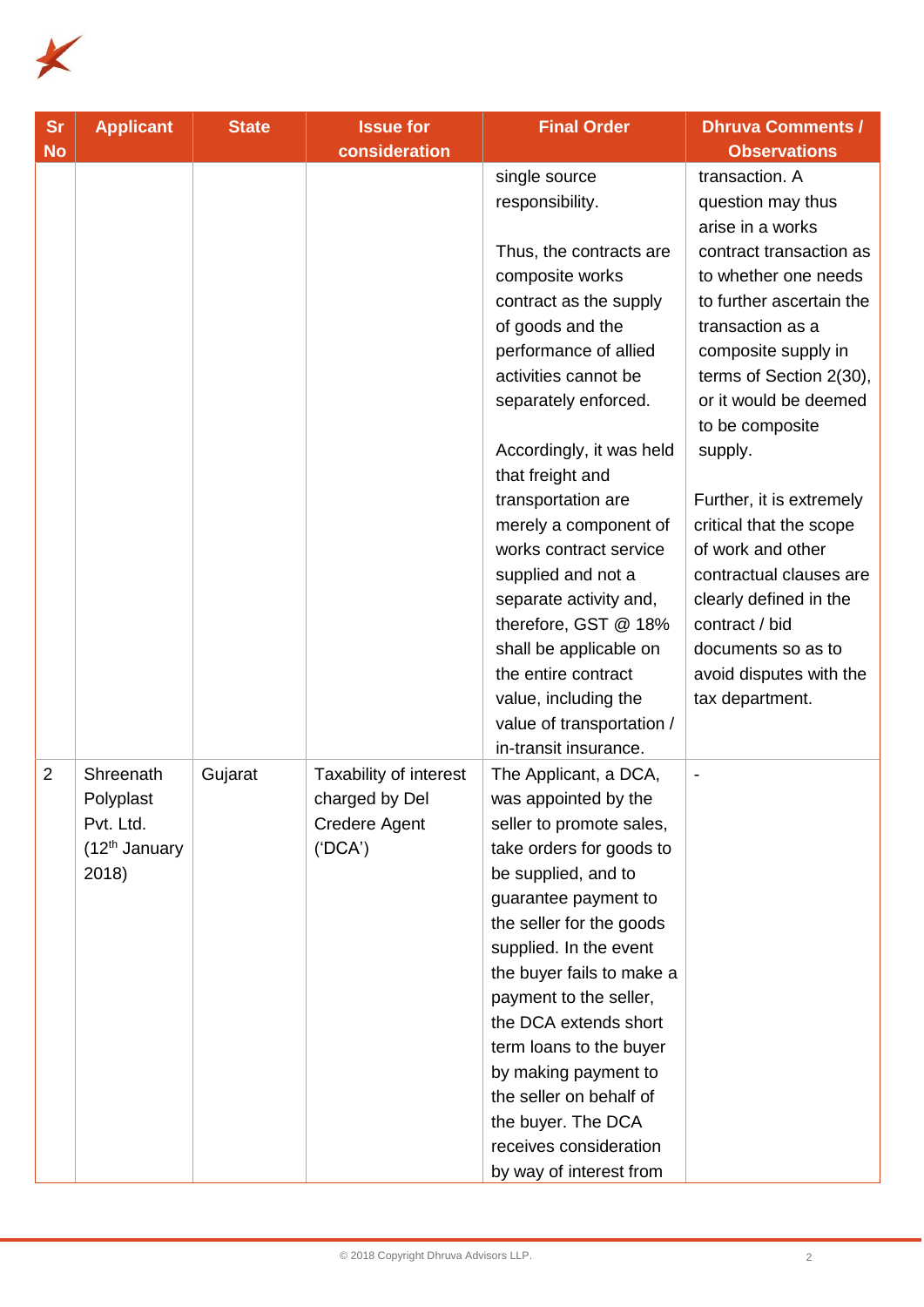

| <b>Sr</b>      | <b>Applicant</b>         | <b>State</b> | <b>Issue for</b>       | <b>Final Order</b>                              | <b>Dhruva Comments /</b>            |
|----------------|--------------------------|--------------|------------------------|-------------------------------------------------|-------------------------------------|
| <b>No</b>      |                          |              | consideration          |                                                 | <b>Observations</b>                 |
|                |                          |              |                        | single source<br>responsibility.                | transaction. A<br>question may thus |
|                |                          |              |                        |                                                 | arise in a works                    |
|                |                          |              |                        | Thus, the contracts are                         | contract transaction as             |
|                |                          |              |                        | composite works                                 | to whether one needs                |
|                |                          |              |                        | contract as the supply                          | to further ascertain the            |
|                |                          |              |                        | of goods and the                                | transaction as a                    |
|                |                          |              |                        | performance of allied                           | composite supply in                 |
|                |                          |              |                        | activities cannot be                            | terms of Section 2(30),             |
|                |                          |              |                        | separately enforced.                            | or it would be deemed               |
|                |                          |              |                        | Accordingly, it was held                        | to be composite<br>supply.          |
|                |                          |              |                        | that freight and                                |                                     |
|                |                          |              |                        | transportation are                              | Further, it is extremely            |
|                |                          |              |                        | merely a component of                           | critical that the scope             |
|                |                          |              |                        | works contract service                          | of work and other                   |
|                |                          |              |                        | supplied and not a                              | contractual clauses are             |
|                |                          |              |                        | separate activity and,                          | clearly defined in the              |
|                |                          |              |                        | therefore, GST @ 18%                            | contract / bid                      |
|                |                          |              |                        | shall be applicable on                          | documents so as to                  |
|                |                          |              |                        | the entire contract                             | avoid disputes with the             |
|                |                          |              |                        | value, including the                            | tax department.                     |
|                |                          |              |                        | value of transportation /                       |                                     |
|                |                          |              |                        | in-transit insurance.                           |                                     |
| $\overline{2}$ | Shreenath                | Gujarat      | Taxability of interest | The Applicant, a DCA,                           |                                     |
|                | Polyplast                |              | charged by Del         | was appointed by the                            |                                     |
|                | Pvt. Ltd.                |              | Credere Agent          | seller to promote sales,                        |                                     |
|                | $(12th$ January<br>2018) |              | ('DCA')                | take orders for goods to<br>be supplied, and to |                                     |
|                |                          |              |                        | guarantee payment to                            |                                     |
|                |                          |              |                        | the seller for the goods                        |                                     |
|                |                          |              |                        | supplied. In the event                          |                                     |
|                |                          |              |                        | the buyer fails to make a                       |                                     |
|                |                          |              |                        | payment to the seller,                          |                                     |
|                |                          |              |                        | the DCA extends short                           |                                     |
|                |                          |              |                        | term loans to the buyer                         |                                     |
|                |                          |              |                        | by making payment to                            |                                     |
|                |                          |              |                        | the seller on behalf of                         |                                     |
|                |                          |              |                        | the buyer. The DCA                              |                                     |
|                |                          |              |                        | receives consideration                          |                                     |
|                |                          |              |                        | by way of interest from                         |                                     |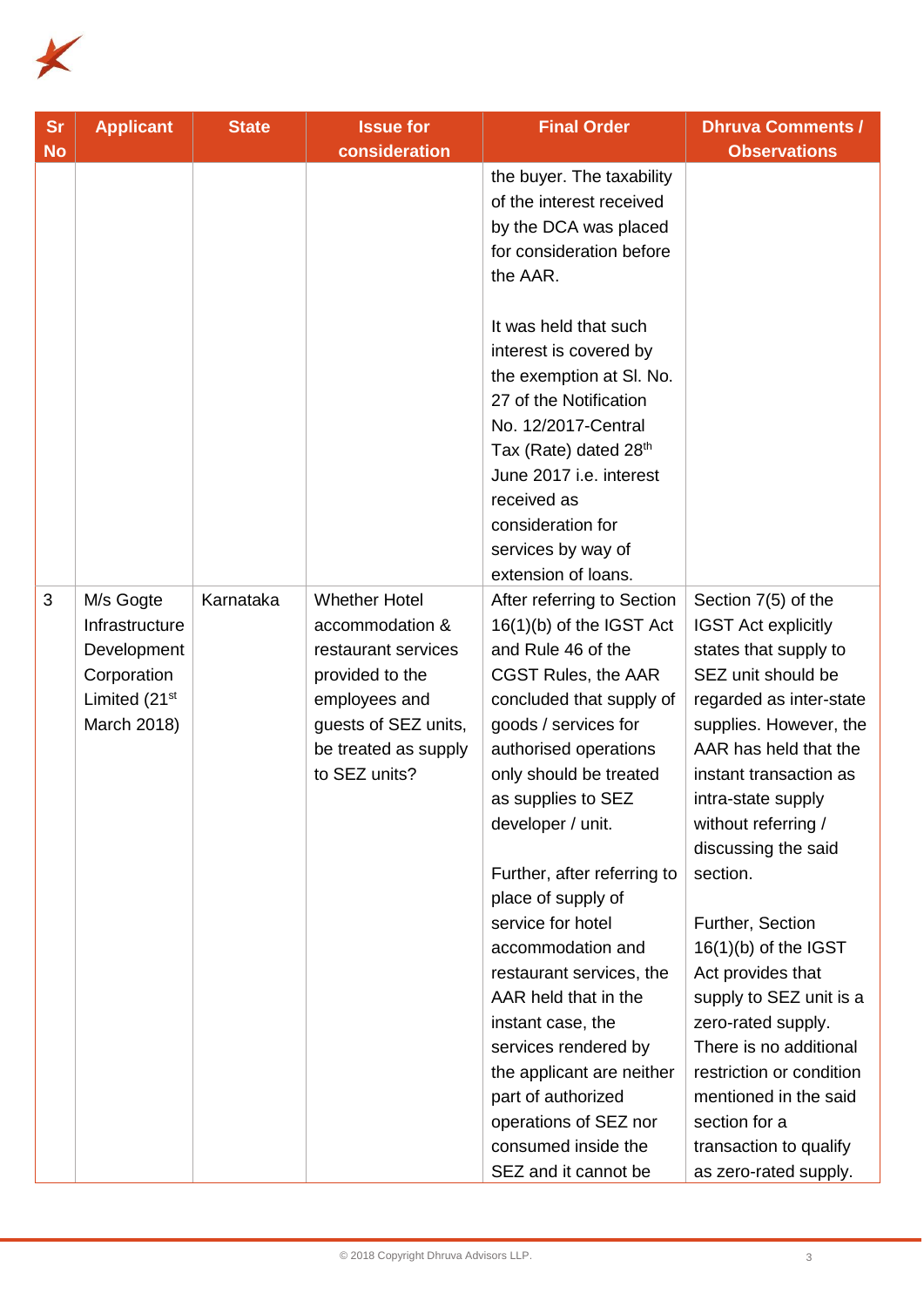

| <b>Sr</b><br><b>No</b> | <b>Applicant</b>                                                                                      | <b>State</b> | <b>Issue for</b><br>consideration                                                                                                                                   | <b>Final Order</b>                                                                                                                                                                                                                                                                                                                                                                                                                                                                                                                                                                                      | <b>Dhruva Comments /</b><br><b>Observations</b>                                                                                                                                                                                                                                                                                                                                                                                                                                                                                                                 |
|------------------------|-------------------------------------------------------------------------------------------------------|--------------|---------------------------------------------------------------------------------------------------------------------------------------------------------------------|---------------------------------------------------------------------------------------------------------------------------------------------------------------------------------------------------------------------------------------------------------------------------------------------------------------------------------------------------------------------------------------------------------------------------------------------------------------------------------------------------------------------------------------------------------------------------------------------------------|-----------------------------------------------------------------------------------------------------------------------------------------------------------------------------------------------------------------------------------------------------------------------------------------------------------------------------------------------------------------------------------------------------------------------------------------------------------------------------------------------------------------------------------------------------------------|
|                        |                                                                                                       |              |                                                                                                                                                                     | the buyer. The taxability<br>of the interest received<br>by the DCA was placed<br>for consideration before<br>the AAR.<br>It was held that such<br>interest is covered by<br>the exemption at SI. No.<br>27 of the Notification<br>No. 12/2017-Central<br>Tax (Rate) dated 28th<br>June 2017 i.e. interest<br>received as<br>consideration for<br>services by way of                                                                                                                                                                                                                                    |                                                                                                                                                                                                                                                                                                                                                                                                                                                                                                                                                                 |
| 3                      | M/s Gogte<br>Infrastructure<br>Development<br>Corporation<br>Limited (21 <sup>st</sup><br>March 2018) | Karnataka    | <b>Whether Hotel</b><br>accommodation &<br>restaurant services<br>provided to the<br>employees and<br>guests of SEZ units,<br>be treated as supply<br>to SEZ units? | extension of loans.<br>After referring to Section<br>16(1)(b) of the IGST Act<br>and Rule 46 of the<br>CGST Rules, the AAR<br>concluded that supply of<br>goods / services for<br>authorised operations<br>only should be treated<br>as supplies to SEZ<br>developer / unit.<br>Further, after referring to<br>place of supply of<br>service for hotel<br>accommodation and<br>restaurant services, the<br>AAR held that in the<br>instant case, the<br>services rendered by<br>the applicant are neither<br>part of authorized<br>operations of SEZ nor<br>consumed inside the<br>SEZ and it cannot be | Section 7(5) of the<br><b>IGST Act explicitly</b><br>states that supply to<br>SEZ unit should be<br>regarded as inter-state<br>supplies. However, the<br>AAR has held that the<br>instant transaction as<br>intra-state supply<br>without referring /<br>discussing the said<br>section.<br>Further, Section<br>$16(1)(b)$ of the IGST<br>Act provides that<br>supply to SEZ unit is a<br>zero-rated supply.<br>There is no additional<br>restriction or condition<br>mentioned in the said<br>section for a<br>transaction to qualify<br>as zero-rated supply. |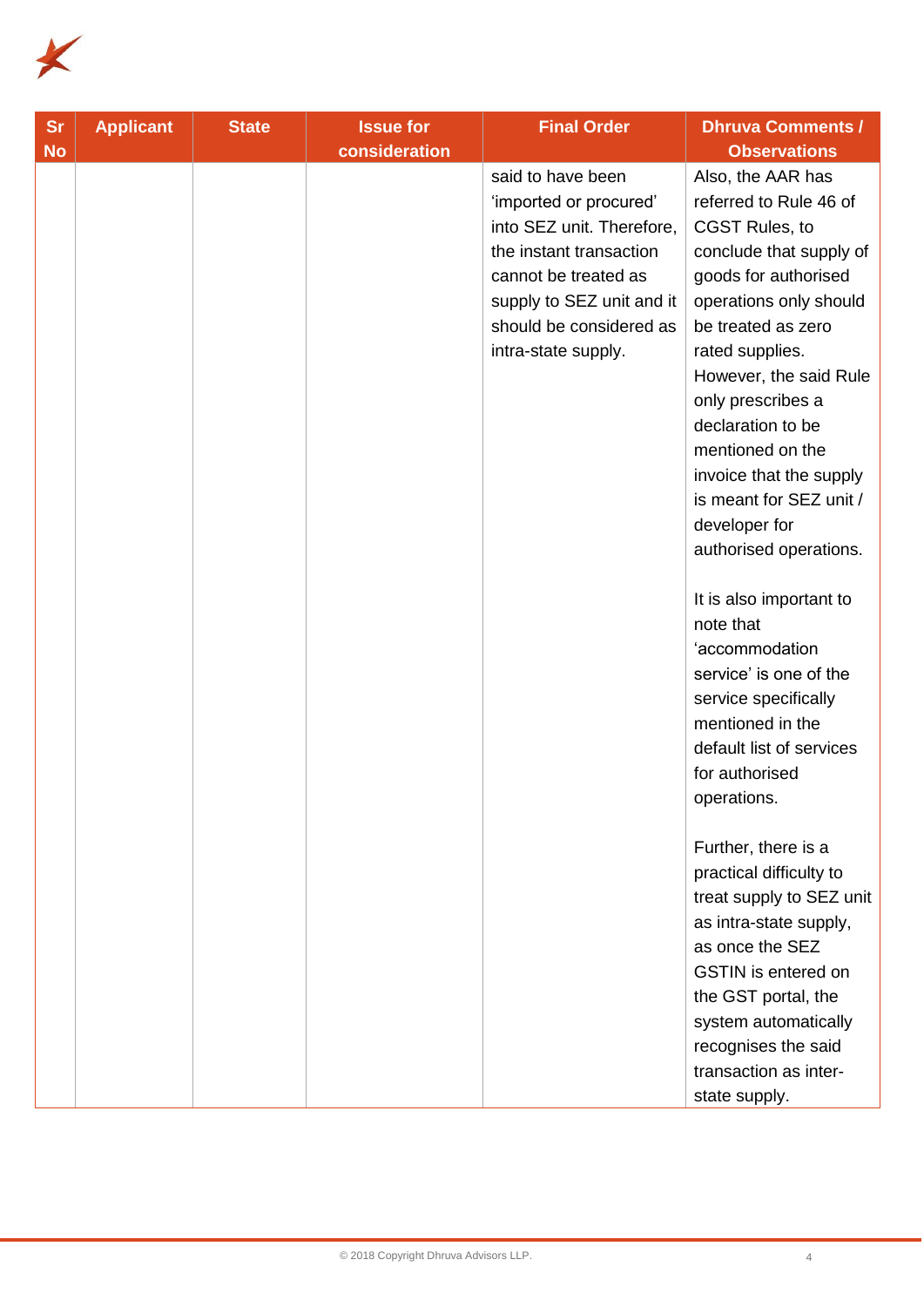